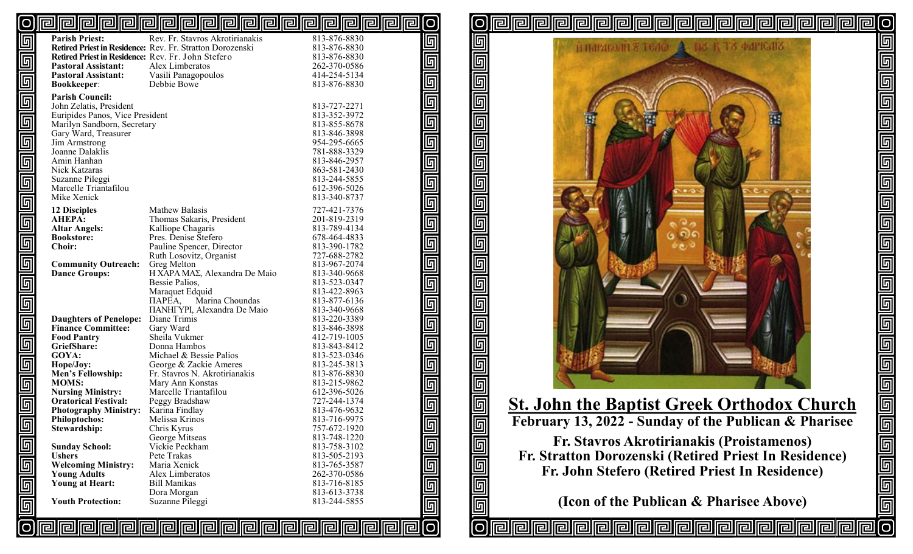#### <u>pipipipipipipipipipipipipipipipipi</u>  $\lbrack$ o [O

|                         | <b>Parish Priest:</b>                              | Rev. Fr. Stavros Akrotirianakis                           | 813-876-8830                 | 回                               |
|-------------------------|----------------------------------------------------|-----------------------------------------------------------|------------------------------|---------------------------------|
|                         |                                                    | Retired Priest in Residence: Rev. Fr. Stratton Dorozenski | 813-876-8830                 |                                 |
| $\overline{\mathbf{E}}$ | Retired Priest in Residence: Rev. Fr. John Stefero |                                                           | 813-876-8830                 |                                 |
|                         | <b>Pastoral Assistant:</b>                         | Alex Limberatos                                           | 262-370-0586                 |                                 |
|                         | <b>Pastoral Assistant:</b>                         | Vasili Panagopoulos                                       | 414-254-5134                 |                                 |
|                         | <b>Bookkeeper:</b>                                 | Debbie Bowe                                               | 813-876-8830                 |                                 |
| $\overline{\mathbb{F}}$ | <b>Parish Council:</b>                             |                                                           |                              |                                 |
|                         | John Zelatis, President                            |                                                           | 813-727-2271                 |                                 |
|                         | Euripides Panos, Vice President                    |                                                           | 813-352-3972                 |                                 |
| $\overline{\mathbb{F}}$ | Marilyn Sandborn, Secretary                        |                                                           | 813-855-8678                 |                                 |
|                         | Gary Ward, Treasurer                               |                                                           | 813-846-3898                 |                                 |
| G                       | Jim Armstrong                                      |                                                           | 954-295-6665                 |                                 |
|                         | Joanne Dalaklis                                    |                                                           | 781-888-3329                 |                                 |
| $\overline{\mathbb{F}}$ | Amin Hanhan<br>Nick Katzaras                       |                                                           | 813-846-2957<br>863-581-2430 |                                 |
|                         | Suzanne Pileggi                                    |                                                           | 813-244-5855                 |                                 |
|                         | Marcelle Triantafilou                              |                                                           | 612-396-5026                 |                                 |
|                         | Mike Xenick                                        |                                                           | 813-340-8737                 |                                 |
| $\overline{\mathbb{F}}$ |                                                    |                                                           |                              | glololololololololololololololo |
|                         | <b>12 Disciples</b>                                | Mathew Balasis                                            | 727-421-7376                 |                                 |
| $\overline{\mathbb{F}}$ | <b>AHEPA:</b>                                      | Thomas Sakaris, President                                 | 201-819-2319                 |                                 |
|                         | <b>Altar Angels:</b>                               | Kalliope Chagaris<br>Pres. Denise Stefero                 | 813-789-4134                 |                                 |
| $\overline{\mathbb{F}}$ | <b>Bookstore:</b><br><b>Choir:</b>                 |                                                           | 678-464-4833<br>813-390-1782 |                                 |
|                         |                                                    | Pauline Spencer, Director<br>Ruth Losovitz, Organist      | 727-688-2782                 |                                 |
|                         | <b>Community Outreach:</b>                         | Greg Melton                                               | 813-967-2074                 |                                 |
|                         | <b>Dance Groups:</b>                               | H XAPA MAΣ, Alexandra De Maio                             | 813-340-9668                 |                                 |
| $\overline{\mathbb{F}}$ |                                                    | Bessie Palios,                                            | 813-523-0347                 |                                 |
|                         |                                                    | Maraquet Edquid                                           | 813-422-8963                 |                                 |
| $\overline{\mathbb{F}}$ |                                                    | Marina Choundas<br>ПАРЕА,                                 | 813-877-6136                 |                                 |
|                         |                                                    | <b>ΠΑΝΗΓΥΡΙ</b> , Alexandra De Maio                       | 813-340-9668                 |                                 |
|                         | <b>Daughters of Penelope:</b>                      | Diane Trimis                                              | 813-220-3389                 |                                 |
|                         | <b>Finance Committee:</b>                          | Gary Ward                                                 | 813-846-3898                 |                                 |
|                         | <b>Food Pantry</b>                                 | Sheila Vukmer                                             | 412-719-1005                 |                                 |
| $\overline{\mathbb{F}}$ | GriefShare:                                        | Donna Hambos                                              | 813-843-8412                 |                                 |
|                         | GOYA:                                              | Michael & Bessie Palios                                   | 813-523-0346                 |                                 |
|                         | Hope/Joy:                                          | George & Zackie Ameres                                    | 813-245-3813                 |                                 |
|                         | Men's Fellowship:                                  | Fr. Stavros N. Akrotirianakis                             | 813-876-8830                 |                                 |
| $\overline{\mathbb{F}}$ | <b>MOMS:</b>                                       | Mary Ann Konstas                                          | 813-215-9862                 |                                 |
|                         | <b>Nursing Ministry:</b>                           | Marcelle Triantafilou                                     | 612-396-5026                 |                                 |
|                         | <b>Oratorical Festival:</b>                        | Peggy Bradshaw                                            | 727-244-1374                 |                                 |
|                         | <b>Photography Ministry:</b>                       | Karina Findlay                                            | 813-476-9632                 |                                 |
| $\overline{\mathbb{F}}$ | <b>Philoptochos:</b><br>Stewardship:               | Melissa Krinos<br>Chris Kyrus                             | 813-716-9975<br>757-672-1920 |                                 |
|                         |                                                    | George Mitseas                                            | 813-748-1220                 |                                 |
|                         | <b>Sunday School:</b>                              | Vickie Peckham                                            | 813-758-3102                 | 回                               |
|                         | <b>Ushers</b>                                      | Pete Trakas                                               | 813-505-2193                 |                                 |
|                         | <b>Welcoming Ministry:</b>                         | Maria Xenick                                              | 813-765-3587                 |                                 |
|                         | <b>Young Adults</b>                                | Alex Limberatos                                           | 262-370-0586                 |                                 |
|                         | Young at Heart:                                    | <b>Bill Manikas</b>                                       | 813-716-8185                 |                                 |
|                         |                                                    | Dora Morgan                                               | 813-613-3738                 |                                 |
| والوالوالو              | <b>Youth Protection:</b>                           | Suzanne Pileggi                                           | 813-244-5855                 |                                 |
|                         |                                                    |                                                           |                              | a a a a                         |
|                         |                                                    |                                                           | <b>@@@@@@@@@@@@@@@@@@@</b> @ |                                 |
|                         |                                                    |                                                           |                              |                                 |

回 同  $\overline{\mathbb{F}}$  $\overline{\mathbb{F}}$  $\overline{\mathbb{F}}$ 回 回 回 回 回  $\overline{\mathbb{F}}$  $\overline{\mathbb{F}}$ 回 回 回 回 回 [O

Iral

Irall

elllei



**pira** 

lO|

elelelele

 $\overline{\mathbb{F}}$ 

<u>sisisisisisis</u>

லெ

# **St. John the Baptist Greek Orthodox Church February 13, 2022 - Sunday of the Publican & Pharisee**

**Fr. Stavros Akrotirianakis (Proistamenos) Fr. Stratton Dorozenski (Retired Priest In Residence) Fr. John Stefero (Retired Priest In Residence)**

**(Icon of the Publican & Pharisee Above)**

**PPPPPPP**P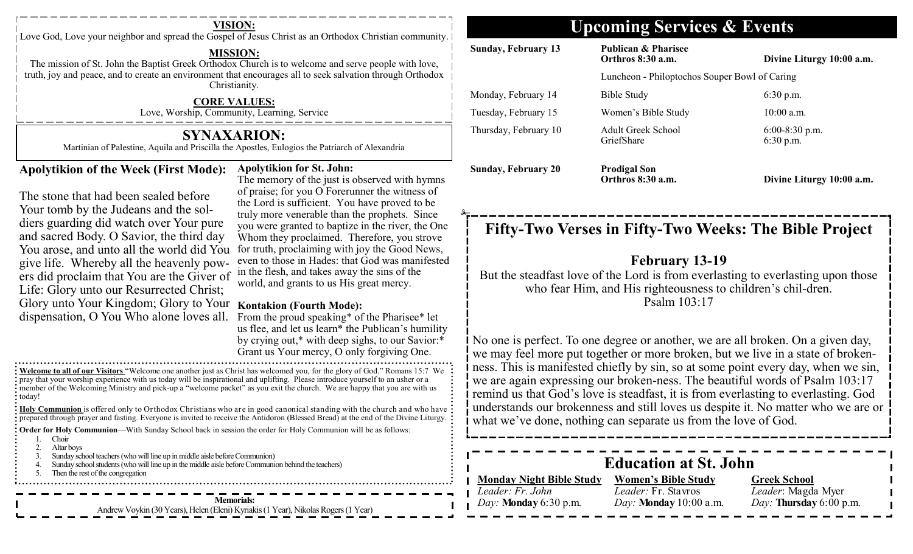Love God, Love your neighbor and spread the Gospel of Jesus Christ as an Orthodox Christian community. |

#### **MISSION:**

The mission of St. John the Baptist Greek Orthodox Church is to welcome and ser truth, joy and peace, and to create an environment that encourages all to seek salvation that  $\epsilon$ Christianity.

#### **CORE VALUES:**

Love, Worship, Community, Learning, Service

#### **SYNAXARION:**

Martinian of Palestine, Aquila and Priscilla the Apostles, Eulogios the Patriarch of

#### **Apolytikion of the Week (First Mode):**

The stone that had been sealed before Your tomb by the Judeans and the soldiers guarding did watch over Your pure and sacred Body. O Savior, the third day You arose, and unto all the world did You give life. Whereby all the heavenly powers did proclaim that You are the Giver of in the flesh, and takes away the sins of the ers did proclaim that You are the Giver of usual and grants to us His great manage. Life: Glory unto our Resurrected Christ; Glory unto Your Kingdom; Glory to Your **Kontakion (Fourth Mode):**  dispensation, O You Who alone loves all.

#### **Apolytikion for St. John:**

The memory of the just is  $\circ$ of praise; for you O Forerun the Lord is sufficient. You truly more venerable than th you were granted to baptize Whom they proclaimed. The for truth, proclaiming with even to those in Hades: that world, and grants to us His

From the proud speaking\* us flee, and let us learn\* the by crying out, $*$  with deep si Grant us Your mercy, O on

**Welcome to all of our Visitors** "Welcome one another just as Christ has welcomed you, for the glory of **Romans 15: pray that your worship experience with us today will be inspirational and uplifting. Please introduce your self to an usher or an usher or an usher or an usher or an usher or an usher or an usher or an usher or an usher o** member of the Welcoming Ministry and pick-up a "welcome packet" as you exit the church. We are happy : today!

**Holy Communion** is offered only to Orthodox Christians who are in good canonical standing with **prepared through prayer and fasting.** Everyone is invited to receive the Antidoron (Blessed Bread) at the Divine Liturg

**Order for Holy Communion—With Sunday School back in session the order for Holy Communion w** 

- 1. Choir<br>2. Altar
- Altar boys
- 3. Sunday school teachers (who will line up in middle aisle before Communion)
- Sunday school students (who will line up in the middle aisle before Communion behind the teachers)
- 5. Then the rest of the congregation

**Memorials:**  Andrew Voykin (30 Years), Helen (Eleni) Kyriakis (1 Year), Nikolas Rogers (1 Year)

# **VISION: Upcoming Services & Events**

| ve people with love,                                                                                                                                                                                                                                                                                                                                                                                 | <b>Sunday, February 13</b>                                                                                                                                                                                                                                                                                                                                                                                                                                                                                                                                                                                                                                                                                                                                                                                                                  | <b>Publican &amp; Pharisee</b><br>Orthros 8:30 a.m.                                                         | Divine Liturgy 10:00 a.m.                                            |  |
|------------------------------------------------------------------------------------------------------------------------------------------------------------------------------------------------------------------------------------------------------------------------------------------------------------------------------------------------------------------------------------------------------|---------------------------------------------------------------------------------------------------------------------------------------------------------------------------------------------------------------------------------------------------------------------------------------------------------------------------------------------------------------------------------------------------------------------------------------------------------------------------------------------------------------------------------------------------------------------------------------------------------------------------------------------------------------------------------------------------------------------------------------------------------------------------------------------------------------------------------------------|-------------------------------------------------------------------------------------------------------------|----------------------------------------------------------------------|--|
| ion through Orthodox                                                                                                                                                                                                                                                                                                                                                                                 | Luncheon - Philoptochos Souper Bowl of Caring                                                                                                                                                                                                                                                                                                                                                                                                                                                                                                                                                                                                                                                                                                                                                                                               |                                                                                                             |                                                                      |  |
|                                                                                                                                                                                                                                                                                                                                                                                                      | Monday, February 14                                                                                                                                                                                                                                                                                                                                                                                                                                                                                                                                                                                                                                                                                                                                                                                                                         | <b>Bible Study</b>                                                                                          | 6:30 p.m.                                                            |  |
|                                                                                                                                                                                                                                                                                                                                                                                                      | Tuesday, February 15                                                                                                                                                                                                                                                                                                                                                                                                                                                                                                                                                                                                                                                                                                                                                                                                                        | Women's Bible Study                                                                                         | $10:00$ a.m.                                                         |  |
| of Alexandria                                                                                                                                                                                                                                                                                                                                                                                        | Thursday, February 10                                                                                                                                                                                                                                                                                                                                                                                                                                                                                                                                                                                                                                                                                                                                                                                                                       | Adult Greek School<br>GriefShare                                                                            | $6:00-8:30$ p.m.<br>6:30 p.m.                                        |  |
| bserved with hymns<br>nner the witness of<br>have proved to be<br>he prophets. Since                                                                                                                                                                                                                                                                                                                 | <b>Sunday, February 20</b>                                                                                                                                                                                                                                                                                                                                                                                                                                                                                                                                                                                                                                                                                                                                                                                                                  | <b>Prodigal Son</b><br>Orthros 8:30 a.m.                                                                    | Divine Liturgy 10:00 a.m.                                            |  |
| e in the river, the One<br>herefore, you strove<br>joy the Good News,<br>t God was manifested<br>the sins of the<br>great mercy.<br>of the Pharisee* let<br>e Publican's humility<br>ighs, to our Savior:*<br>ly forgiving One.<br>of God." Romans 15:7 We<br>ourself to an usher or a<br>appy that you are with us<br>the church and who have<br>e end of the Divine Liturgy.<br>ill be as follows: | Fifty-Two Verses in Fifty-Two Weeks: The Bible Project<br><b>February 13-19</b><br>But the steadfast love of the Lord is from everlasting to everlasting upon those<br>who fear Him, and His righteousness to children's chil-dren.<br>Psalm 103:17<br>No one is perfect. To one degree or another, we are all broken. On a given day,<br>we may feel more put together or more broken, but we live in a state of broken-<br>ness. This is manifested chiefly by sin, so at some point every day, when we sin,<br>we are again expressing our broken-ness. The beautiful words of Psalm 103:17<br>remind us that God's love is steadfast, it is from everlasting to everlasting. God<br>understands our brokenness and still loves us despite it. No matter who we are or<br>what we've done, nothing can separate us from the love of God. |                                                                                                             |                                                                      |  |
|                                                                                                                                                                                                                                                                                                                                                                                                      |                                                                                                                                                                                                                                                                                                                                                                                                                                                                                                                                                                                                                                                                                                                                                                                                                                             |                                                                                                             |                                                                      |  |
|                                                                                                                                                                                                                                                                                                                                                                                                      | <b>Monday Night Bible Study</b><br>Leader: Fr. John<br>Day: Monday 6:30 p.m.                                                                                                                                                                                                                                                                                                                                                                                                                                                                                                                                                                                                                                                                                                                                                                | <b>Education at St. John</b><br><b>Women's Bible Study</b><br>Leader: Fr. Stavros<br>Day: Monday 10:00 a.m. | <b>Greek School</b><br>Leader: Magda Myer<br>Day: Thursday 6:00 p.m. |  |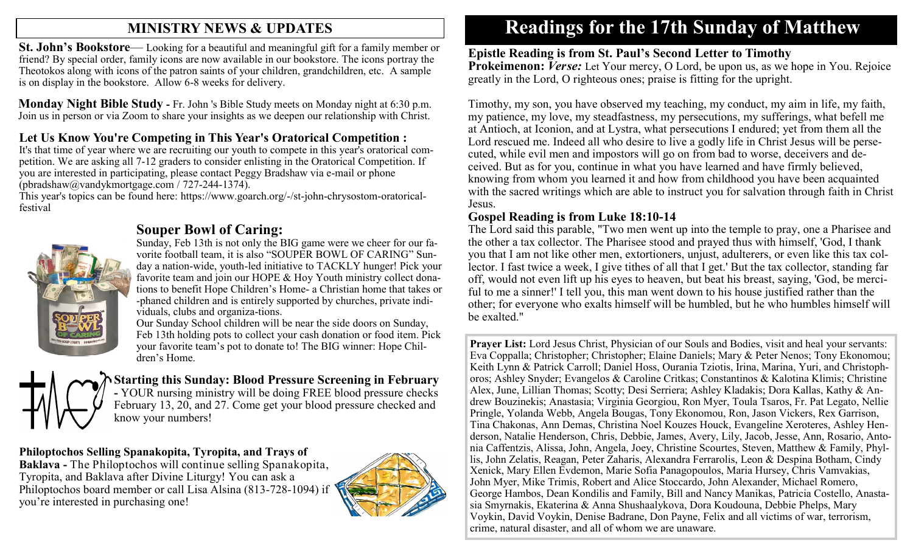# **MINISTRY NEWS & UPDATES**

**St. John's Bookstore**— Looking for a beautiful and meaningful gift for a family member or friend? By special order, family icons are now available in our bookstore. The icons portray the Theotokos along with icons of the patron saints of your children, grandchildren, etc. A sample is on display in the bookstore. Allow 6-8 weeks for delivery.

**Monday Night Bible Study -** Fr. John 's Bible Study meets on Monday night at 6:30 p.m. Join us in person or via Zoom to share your insights as we deepen our relationship with Christ.

## **Let Us Know You're Competing in This Year's Oratorical Competition :**

It's that time of year where we are recruiting our youth to compete in this year's oratorical competition. We are asking all 7-12 graders to consider enlisting in the Oratorical Competition. If you are interested in participating, please contact Peggy Bradshaw via e-mail or phone (pbradshaw@vandykmortgage.com / 727-244-1374).

This year's topics can be found here: https://www.goarch.org/-/st-john-chrysostom-oratoricalfestival



### **Souper Bowl of Caring:**

Sunday, Feb 13th is not only the BIG game were we cheer for our favorite football team, it is also "SOUPER BOWL OF CARING" Sunday a nation-wide, youth-led initiative to TACKLY hunger! Pick your favorite team and join our HOPE & Hoy Youth ministry collect donations to benefit Hope Children's Home- a Christian home that takes or -phaned children and is entirely supported by churches, private individuals, clubs and organiza-tions.

Our Sunday School children will be near the side doors on Sunday, Feb 13th holding pots to collect your cash donation or food item. Pick your favorite team's pot to donate to! The BIG winner: Hope Children's Home.



**Starting this Sunday: Blood Pressure Screening in February -** YOUR nursing ministry will be doing FREE blood pressure checks February 13, 20, and 27. Come get your blood pressure checked and know your numbers!

#### **Philoptochos Selling Spanakopita, Tyropita, and Trays of**

**Baklava -** The Philoptochos will continue selling Spanakopita, Tyropita, and Baklava after Divine Liturgy! You can ask a Philoptochos board member or call Lisa Alsina (813-728-1094) if you're interested in purchasing one!



# **Readings for the 17th Sunday of Matthew**

#### **Epistle Reading is from St. Paul's Second Letter to Timothy**

**Prokeimenon: Verse:** Let Your mercy, O Lord, be upon us, as we hope in You. Rejoice greatly in the Lord, O righteous ones; praise is fitting for the upright.

Timothy, my son, you have observed my teaching, my conduct, my aim in life, my faith, my patience, my love, my steadfastness, my persecutions, my sufferings, what befell me at Antioch, at Iconion, and at Lystra, what persecutions I endured; yet from them all the Lord rescued me. Indeed all who desire to live a godly life in Christ Jesus will be persecuted, while evil men and impostors will go on from bad to worse, deceivers and deceived. But as for you, continue in what you have learned and have firmly believed, knowing from whom you learned it and how from childhood you have been acquainted with the sacred writings which are able to instruct you for salvation through faith in Christ Jesus.

#### **Gospel Reading is from Luke 18:10-14**

The Lord said this parable, "Two men went up into the temple to pray, one a Pharisee and the other a tax collector. The Pharisee stood and prayed thus with himself, 'God, I thank you that I am not like other men, extortioners, unjust, adulterers, or even like this tax collector. I fast twice a week, I give tithes of all that I get.' But the tax collector, standing far off, would not even lift up his eyes to heaven, but beat his breast, saying, 'God, be merciful to me a sinner!' I tell you, this man went down to his house justified rather than the other; for everyone who exalts himself will be humbled, but he who humbles himself will be exalted."

**Prayer List:** Lord Jesus Christ, Physician of our Souls and Bodies, visit and heal your servants: Eva Coppalla; Christopher; Christopher; Elaine Daniels; Mary & Peter Nenos; Tony Ekonomou; Keith Lynn & Patrick Carroll; Daniel Hoss, Ourania Tziotis, Irina, Marina, Yuri, and Christophoros; Ashley Snyder; Evangelos & Caroline Critkas; Constantinos & Kalotina Klimis; Christine Alex, June, Lillian Thomas; Scotty; Desi Serriera; Ashley Kladakis; Dora Kallas, Kathy & Andrew Bouzinekis; Anastasia; Virginia Georgiou, Ron Myer, Toula Tsaros, Fr. Pat Legato, Nellie Pringle, Yolanda Webb, Angela Bougas, Tony Ekonomou, Ron, Jason Vickers, Rex Garrison, Tina Chakonas, Ann Demas, Christina Noel Kouzes Houck, Evangeline Xeroteres, Ashley Henderson, Natalie Henderson, Chris, Debbie, James, Avery, Lily, Jacob, Jesse, Ann, Rosario, Antonia Caffentzis, Alissa, John, Angela, Joey, Christine Scourtes, Steven, Matthew & Family, Phyllis, John Zelatis, Reagan, Peter Zaharis, Alexandra Ferrarolis, Leon & Despina Botham, Cindy Xenick, Mary Ellen Evdemon, Marie Sofia Panagopoulos, Maria Hursey, Chris Vamvakias, John Myer, Mike Trimis, Robert and Alice Stoccardo, John Alexander, Michael Romero, George Hambos, Dean Kondilis and Family, Bill and Nancy Manikas, Patricia Costello, Anastasia Smyrnakis, Ekaterina & Anna Shushaalykova, Dora Koudouna, Debbie Phelps, Mary Voykin, David Voykin, Denise Badrane, Don Payne, Felix and all victims of war, terrorism, crime, natural disaster, and all of whom we are unaware.